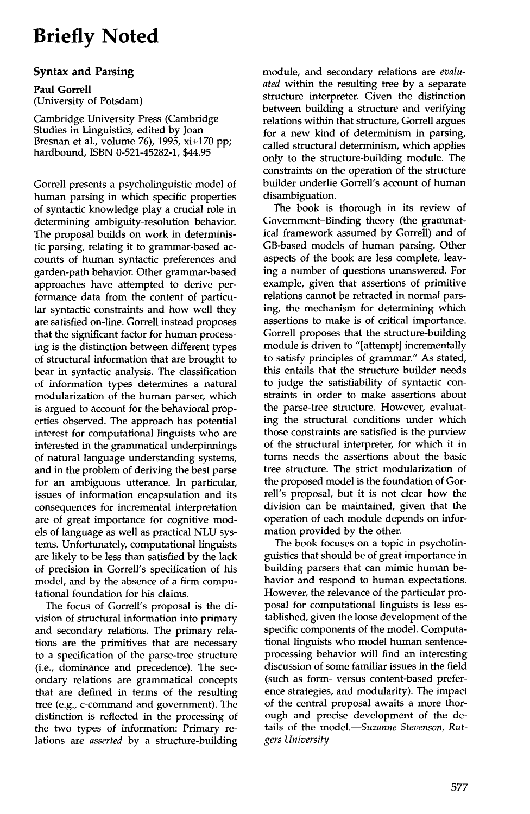# **Briefly Noted**

#### **Syntax and Parsing**

**Paul** Gorrell (University of Potsdam)

Cambridge University Press (Cambridge Studies in Linguistics, edited by Joan Bresnan et al., volume 76), 1995, xi+170 pp; hardbound, ISBN 0-521-45282-1, \$44.95

Gorrell presents a psycholinguistic model of human parsing in which specific properties of syntactic knowledge play a crucial role in determining ambiguity-resolution behavior. The proposal builds on work in deterministic parsing, relating it to grammar-based accounts of human syntactic preferences and garden-path behavior. Other grammar-based approaches have attempted to derive performance data from the content of particular syntactic constraints and how well they are satisfied on-line. Gorrell instead proposes that the significant factor for human processing is the distinction between different types of structural information that are brought to bear in syntactic analysis. The classification of information types determines a natural modularization of the human parser, which is argued to account for the behavioral properties observed. The approach has potential interest for computational linguists who are interested in the grammatical underpinnings of natural language understanding systems, and in the problem of deriving the best parse for an ambiguous utterance. In particular, issues of information encapsulation and its consequences for incremental interpretation are of great importance for cognitive models of language as well as practical NLU systems. Unfortunately, computational linguists are likely to be less than satisfied by the lack of precision in Gorrell's specification of his model, and by the absence of a firm computational foundation for his claims.

The focus of Gorrell's proposal is the division of structural information into primary and secondary relations. The primary relations are the primitives that are necessary to a specification of the parse-tree structure (i.e., dominance and precedence). The secondary relations are grammatical concepts that are defined in terms of the resulting tree (e.g., c-command and government). The distinction is reflected in the processing of the two types of information: Primary relations are *asserted* by a structure-building module, and secondary relations are *evaluated* within the resulting tree by a separate structure interpreter. Given the distinction between building a structure and verifying relations within that structure, Gorrell argues for a new kind of determinism in parsing, called structural determinism, which applies only to the structure-building module. The constraints on the operation of the structure builder underlie Gorrell's account of human disambiguation.

The book is thorough in its review of Government-Binding theory (the grammatical framework assumed by Gorrell) and of GB-based models of human parsing. Other aspects of the book are less complete, leaving a number of questions unanswered. For example, given that assertions of primitive relations cannot be retracted in normal parsing, the mechanism for determining which assertions to make is of critical importance. Gorrell proposes that the structure-building module is driven to "[attempt] incrementally to satisfy principles of grammar." As stated, this entails that the structure builder needs to judge the sarisfiability of syntactic constraints in order to make assertions about the parse-tree structure. However, evaluating the structural conditions under which those constraints are satisfied is the purview of the structural interpreter, for which it in turns needs the assertions about the basic tree structure. The strict modularization of the proposed model is the foundation of Gorrell's proposal, but it is not clear how the division can be maintained, given that the operation of each module depends on information provided by the other.

The book focuses on a topic in psycholinguistics that should be of great importance in building parsers that can mimic human behavior and respond to human expectations. However, the relevance of the particular proposal for computational linguists is less established, given the loose development of the specific components of the model. Computational linguists who model human sentenceprocessing behavior will find an interesting discussion of some familiar issues in the field (such as form- versus content-based preference strategies, and modularity). The impact of the central proposal awaits a more thorough and precise development of the details of the *model.--Suzanne Stevenson, Rutgers University*